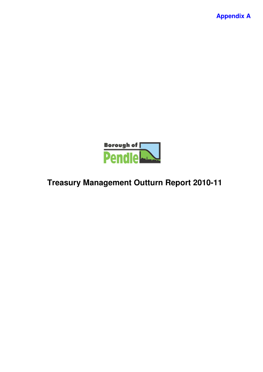**Appendix A**



# **Treasury Management Outturn Report 2010-11**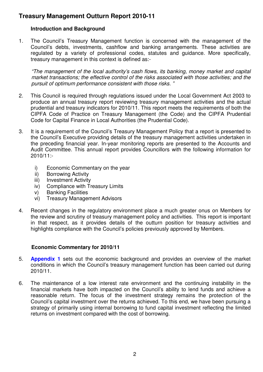## **Treasury Management Outturn Report 2010-11**

## **Introduction and Background**

1. The Council's Treasury Management function is concerned with the management of the Council's debts, investments, cashflow and banking arrangements. These activities are regulated by a variety of professional codes, statutes and guidance. More specifically, treasury management in this context is defined as:-

*"The management of the local authority's cash flows, its banking, money market and capital market transactions; the effective control of the risks associated with those activities; and the pursuit of optimum performance consistent with those risks. "*

- 2. This Council is required through regulations issued under the Local Government Act 2003 to produce an annual treasury report reviewing treasury management activities and the actual prudential and treasury indicators for 2010/11. This report meets the requirements of both the CIPFA Code of Practice on Treasury Management (the Code) and the CIPFA Prudential Code for Capital Finance in Local Authorities (the Prudential Code).
- 3. It is a requirement of the Council's Treasury Management Policy that a report is presented to the Council's Executive providing details of the treasury management activities undertaken in the preceding financial year. In-year monitoring reports are presented to the Accounts and Audit Committee. This annual report provides Councillors with the following information for 2010/11:
	- i) Economic Commentary on the year
	- ii) Borrowing Activity
	- iii) Investment Activity
	- iv) Compliance with Treasury Limits
	- v) Banking Facilities
	- vi) Treasury Management Advisors
- 4. Recent changes in the regulatory environment place a much greater onus on Members for the review and scrutiny of treasury management policy and activities. This report is important in that respect, as it provides details of the outturn position for treasury activities and highlights compliance with the Council's policies previously approved by Members.

## **Economic Commentary for 2010/11**

- 5. **Appendix 1** sets out the economic background and provides an overview of the market conditions in which the Council's treasury management function has been carried out during 2010/11.
- 6. The maintenance of a low interest rate environment and the continuing instability in the financial markets have both impacted on the Council's ability to lend funds and achieve a reasonable return. The focus of the investment strategy remains the protection of the Council's capital investment over the returns achieved. To this end, we have been pursuing a strategy of primarily using internal borrowing to fund capital investment reflecting the limited returns on investment compared with the cost of borrowing.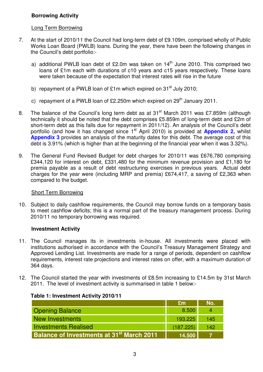## **Borrowing Activity**

#### Long Term Borrowing

- 7. At the start of 2010/11 the Council had long-term debt of £9.109m, comprised wholly of Public Works Loan Board (PWLB) loans. During the year, there have been the following changes in the Council's debt portfolio:
	- a) additional PWLB loan debt of £2.0m was taken on 14<sup>th</sup> June 2010. This comprised two loans of £1m each with durations of c10 years and c15 years respectively. These loans were taken because of the expectation that interest rates will rise in the future
	- b) repayment of a PWLB loan of £1m which expired on 31<sup>st</sup> July 2010;
	- c) repayment of a PWLB loan of £2.250m which expired on 29<sup>th</sup> January 2011.
- 8. The balance of the Council's long term debt as at 31<sup>st</sup> March 2011 was £7.859m (although technically it should be noted that the debt comprises £5.859m of long-term debt and £2m of short-term debt as this falls due for repayment in 2011/12). An analysis of the Council's debt portfolio (and how it has changed since 1<sup>st</sup> April 2010) is provided at Appendix 2, whilst **Appendix 3** provides an analysis of the maturity dates for this debt. The average cost of this debt is 3.91% (which is higher than at the beginning of the financial year when it was 3.32%).
- 9. The General Fund Revised Budget for debt charges for 2010/11 was £676,780 comprising £344,120 for interest on debt, £331,480 for the minimum revenue provision and £1,180 for premia payable as a result of debt restructuring exercises in previous years. Actual debt charges for the year were (including MRP and premia) £674,417, a saving of £2,363 when compared to the budget.

#### Short Term Borrowing

10. Subject to daily cashflow requirements, the Council may borrow funds on a temporary basis to meet cashflow deficits; this is a normal part of the treasury management process. During 2010/11 no temporary borrowing was required.

#### **Investment Activity**

- 11. The Council manages its in investments in-house. All investments were placed with institutions authorised in accordance with the Council's Treasury Management Strategy and Approved Lending List. Investments are made for a range of periods, dependent on cashflow requirements, interest rate projections and interest rates on offer, with a maximum duration of 364 days.
- 12. The Council started the year with investments of £8.5m increasing to £14.5m by 31st March 2011. The level of investment activity is summarised in table 1 below:-

|                                                             | £m        | No. |
|-------------------------------------------------------------|-----------|-----|
| <b>Opening Balance</b>                                      | 8.500     |     |
| New Investments                                             | 193.225   | 145 |
| <b>Investments Realised</b>                                 | (187.225) | 142 |
| <b>Balance of Investments at 31<sup>st</sup> March 2011</b> | 14.500    |     |

#### **Table 1: Investment Activity 2010/11**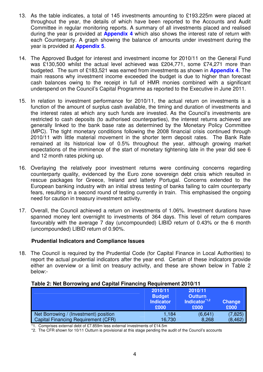- 13. As the table indicates, a total of 145 investments amounting to £193.225m were placed at throughout the year, the details of which have been reported to the Accounts and Audit Committee in regular monitoring reports. A summary of all investments placed and realised during the year is provided at **Appendix 4** which also shows the interest rate of return with each Counterparty. A graph showing the balance of amounts under investment during the year is provided at **Appendix 5**.
- 14. The Approved Budget for interest and investment income for 2010/11 on the General Fund was £130,500 whilst the actual level achieved was £204,771, some £74,271 more than budgeted. The sum of £183,521 was earned from investments as shown in **Appendix 4**. The main reasons why investment income exceeded the budget is due to higher than forecast cash balances owing to the receipt in full of HMR monies combined with a significant underspend on the Council's Capital Programme as reported to the Executive in June 2011.
- 15. In relation to investment performance for 2010/11, the actual return on investments is a function of the amount of surplus cash available, the timing and duration of investments and the interest rates at which any such funds are invested. As the Council's investments are restricted to cash deposits (to authorised counterparties), the interest returns achieved are generally linked to the bank base rate as determined by the Monetary Policy Committee (MPC). The tight monetary conditions following the 2008 financial crisis continued through 2010/11 with little material movement in the shorter term deposit rates. The Bank Rate remained at its historical low of 0.5% throughout the year, although growing market expectations of the imminence of the start of monetary tightening late in the year did see 6 and 12 month rates picking up.
- 16. Overlaying the relatively poor investment returns were continuing concerns regarding counterparty quality, evidenced by the Euro zone sovereign debt crisis which resulted in rescue packages for Greece, Ireland and latterly Portugal. Concerns extended to the European banking industry with an initial stress testing of banks failing to calm counterparty fears, resulting in a second round of testing currently in train. This emphasised the ongoing need for caution in treasury investment activity.
- 17. Overall, the Council achieved a return on investments of 1.06%. Investment durations have spanned money lent overnight to investments of 364 days. This level of return compares favourably with the average 7 day (uncompounded) LIBID return of 0.43% or the 6 month (uncompounded) LIBID return of 0.90%.

#### **Prudential Indicators and Compliance Issues**

18. The Council is required by the Prudential Code (for Capital Finance in Local Authorities) to report the actual prudential indicators after the year end. Certain of these indicators provide either an overview or a limit on treasury activity, and these are shown below in Table 2 below:-

#### **Table 2: Net Borrowing and Capital Financing Requirement 2010/11**

|                                       | 2010/11<br><b>Budget</b><br><b>Indicator</b><br>£000 | 2010/11<br><b>Outturn</b><br>Indicator <sup>*1,2</sup><br>£000 | <b>Change</b><br>£000 |
|---------------------------------------|------------------------------------------------------|----------------------------------------------------------------|-----------------------|
| Net Borrowing / (Investment) position | 1.184                                                | (6,641)                                                        | (7, 825)              |
| Capital Financing Requirement (CFR)   | 16,730                                               | 8,268                                                          | (8, 462)              |

\*1. Comprises external debt of £7.859m less external investments of £14.5m

\*2. The CFR shown for 10/11 Outturn is provisional at this stage pending the audit of the Council's accounts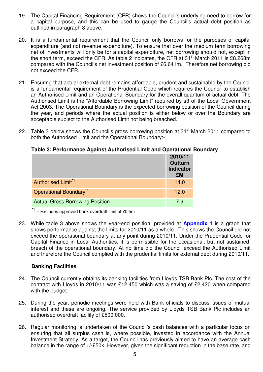- 19. The Capital Financing Requirement (CFR) shows the Council's underlying need to borrow for a capital purpose, and this can be used to gauge the Council's actual debt position as outlined in paragraph 8 above.
- 20. It is a fundamental requirement that the Council only borrows for the purposes of capital expenditure (and not revenue expenditure). To ensure that over the medium term borrowing net of investments will only be for a capital expenditure, net borrowing should not, except in the short term, exceed the CFR. As table 2 indicates, the CFR at 31<sup>st</sup> March 2011 is £8.268m compared with the Council's net investment position of £6.641m. Therefore net borrowing did not exceed the CFR.
- 21. Ensuring that actual external debt remains affordable, prudent and sustainable by the Council is a fundamental requirement of the Prudential Code which requires the Council to establish an Authorised Limit and an Operational Boundary for the overall quantum of actual debt. The Authorised Limit is the "Affordable Borrowing Limit" required by s3 of the Local Government Act 2003. The Operational Boundary is the expected borrowing position of the Council during the year, and periods where the actual position is either below or over the Boundary are acceptable subject to the Authorised Limit not being breached.
- 22. Table 3 below shows the Council's gross borrowing position at 31<sup>st</sup> March 2011 compared to both the Authorised Limit and the Operational Boundary:-

|  |  |  | Table 3: Performance Against Authorised Limit and Operational Boundary |
|--|--|--|------------------------------------------------------------------------|
|--|--|--|------------------------------------------------------------------------|

|                                        | 2010/11<br><b>Outturn</b><br><b>Indicator</b><br>£M |
|----------------------------------------|-----------------------------------------------------|
| Authorised Limit <sup>*1</sup>         | 14.0                                                |
| Operational Boundary <sup>1</sup>      | 12.0                                                |
| <b>Actual Gross Borrowing Position</b> | 7.9                                                 |

\*1 – Excludes approved bank overdraft limit of £0.5m

23. While table 3 above shows the year-end position, provided at **Appendix 1** is a graph that shows performance against the limits for 2010/11 as a whole. This shows the Council did not exceed the operational boundary at any point during 2010/11. Under the Prudential Code for Capital Finance in Local Authorities, it is permissible for the occasional, but not sustained, breach of the operational boundary. At no time did the Council exceed the Authorised Limit and therefore the Council complied with the prudential limits for external debt during 2010/11.

#### **Banking Facilities**

- 24. The Council currently obtains its banking facilities from Lloyds TSB Bank Plc. The cost of the contract with Lloyds in 2010/11 was £12,450 which was a saving of £2,420 when compared with the budget.
- 25. During the year, periodic meetings were held with Bank officials to discuss issues of mutual interest and these are ongoing. The service provided by Lloyds TSB Bank Plc includes an authorised overdraft facility of £500,000.
- 26. Regular monitoring is undertaken of the Council's cash balances with a particular focus on ensuring that all surplus cash is, where possible, invested in accordance with the Annual Investment Strategy. As a target, the Council has previously aimed to have an average cash balance in the range of +/-£50k. However, given the significant reduction in the base rate, and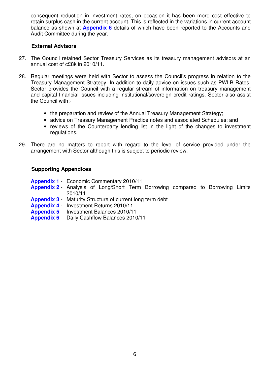consequent reduction in investment rates, on occasion it has been more cost effective to retain surplus cash in the current account. This is reflected in the variations in current account balance as shown at **Appendix 6** details of which have been reported to the Accounts and Audit Committee during the year.

#### **External Advisors**

- 27. The Council retained Sector Treasury Services as its treasury management advisors at an annual cost of c£8k in 2010/11.
- 28. Regular meetings were held with Sector to assess the Council's progress in relation to the Treasury Management Strategy. In addition to daily advice on issues such as PWLB Rates, Sector provides the Council with a regular stream of information on treasury management and capital financial issues including institutional/sovereign credit ratings. Sector also assist the Council with:-
	- the preparation and review of the Annual Treasury Management Strategy;
	- advice on Treasury Management Practice notes and associated Schedules; and
	- reviews of the Counterparty lending list in the light of the changes to investment regulations.
- 29. There are no matters to report with regard to the level of service provided under the arrangement with Sector although this is subject to periodic review.

#### **Supporting Appendices**

- **Appendix 1** Economic Commentary 2010/11
- **Appendix 2** Analysis of Long/Short Term Borrowing compared to Borrowing Limits 2010/11
- **Appendix 3** Maturity Structure of current long term debt
- **Appendix 4** Investment Returns 2010/11
- **Appendix 5** Investment Balances 2010/11
- **Appendix 6** Daily Cashflow Balances 2010/11